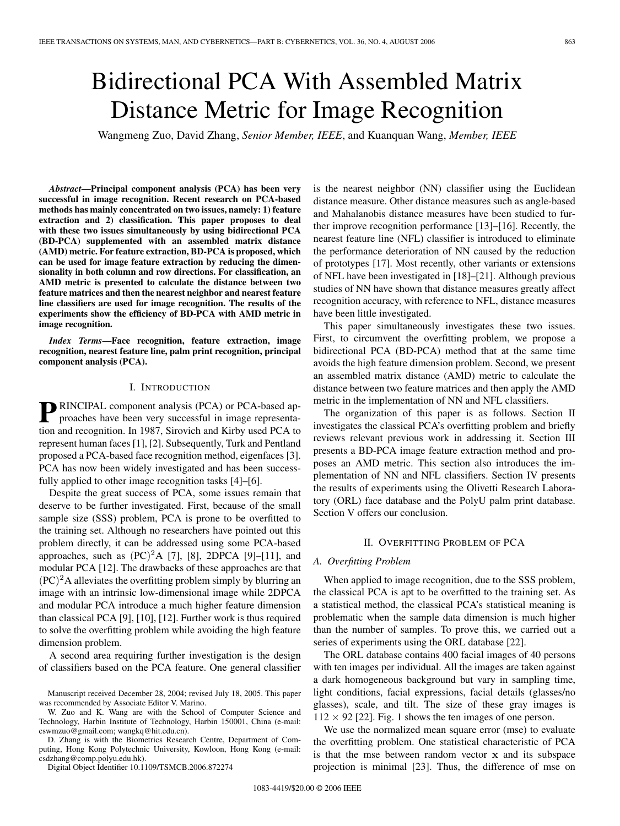# Bidirectional PCA With Assembled Matrix Distance Metric for Image Recognition

Wangmeng Zuo, David Zhang, *Senior Member, IEEE*, and Kuanquan Wang, *Member, IEEE*

*Abstract***—Principal component analysis (PCA) has been very successful in image recognition. Recent research on PCA-based methods has mainly concentrated on two issues, namely: 1) feature extraction and 2) classification. This paper proposes to deal with these two issues simultaneously by using bidirectional PCA (BD-PCA) supplemented with an assembled matrix distance (AMD) metric. For feature extraction, BD-PCA is proposed, which can be used for image feature extraction by reducing the dimensionality in both column and row directions. For classification, an AMD metric is presented to calculate the distance between two feature matrices and then the nearest neighbor and nearest feature line classifiers are used for image recognition. The results of the experiments show the efficiency of BD-PCA with AMD metric in image recognition.**

*Index Terms***—Face recognition, feature extraction, image recognition, nearest feature line, palm print recognition, principal component analysis (PCA).**

# I. INTRODUCTION

**P** RINCIPAL component analysis (PCA) or PCA-based approaches have been very successful in image representation and recognition. In 1987, Sirovich and Kirby used PCA to represent human faces [1], [2]. Subsequently, Turk and Pentland proposed a PCA-based face recognition method, eigenfaces [3]. PCA has now been widely investigated and has been successfully applied to other image recognition tasks [4]–[6].

Despite the great success of PCA, some issues remain that deserve to be further investigated. First, because of the small sample size (SSS) problem, PCA is prone to be overfitted to the training set. Although no researchers have pointed out this problem directly, it can be addressed using some PCA-based approaches, such as  $(PC)^2A$  [7], [8], 2DPCA [9]–[11], and modular PCA [12]. The drawbacks of these approaches are that  $(PC)^2$ A alleviates the overfitting problem simply by blurring an image with an intrinsic low-dimensional image while 2DPCA and modular PCA introduce a much higher feature dimension than classical PCA [9], [10], [12]. Further work is thus required to solve the overfitting problem while avoiding the high feature dimension problem.

A second area requiring further investigation is the design of classifiers based on the PCA feature. One general classifier

W. Zuo and K. Wang are with the School of Computer Science and Technology, Harbin Institute of Technology, Harbin 150001, China (e-mail: cswmzuo@gmail.com; wangkq@hit.edu.cn).

D. Zhang is with the Biometrics Research Centre, Department of Computing, Hong Kong Polytechnic University, Kowloon, Hong Kong (e-mail: csdzhang@comp.polyu.edu.hk).

Digital Object Identifier 10.1109/TSMCB.2006.872274

is the nearest neighbor (NN) classifier using the Euclidean distance measure. Other distance measures such as angle-based and Mahalanobis distance measures have been studied to further improve recognition performance [13]–[16]. Recently, the nearest feature line (NFL) classifier is introduced to eliminate the performance deterioration of NN caused by the reduction of prototypes [17]. Most recently, other variants or extensions of NFL have been investigated in [18]–[21]. Although previous studies of NN have shown that distance measures greatly affect recognition accuracy, with reference to NFL, distance measures have been little investigated.

This paper simultaneously investigates these two issues. First, to circumvent the overfitting problem, we propose a bidirectional PCA (BD-PCA) method that at the same time avoids the high feature dimension problem. Second, we present an assembled matrix distance (AMD) metric to calculate the distance between two feature matrices and then apply the AMD metric in the implementation of NN and NFL classifiers.

The organization of this paper is as follows. Section II investigates the classical PCA's overfitting problem and briefly reviews relevant previous work in addressing it. Section III presents a BD-PCA image feature extraction method and proposes an AMD metric. This section also introduces the implementation of NN and NFL classifiers. Section IV presents the results of experiments using the Olivetti Research Laboratory (ORL) face database and the PolyU palm print database. Section V offers our conclusion.

## II. OVERFITTING PROBLEM OF PCA

## *A. Overfitting Problem*

When applied to image recognition, due to the SSS problem, the classical PCA is apt to be overfitted to the training set. As a statistical method, the classical PCA's statistical meaning is problematic when the sample data dimension is much higher than the number of samples. To prove this, we carried out a series of experiments using the ORL database [22].

The ORL database contains 400 facial images of 40 persons with ten images per individual. All the images are taken against a dark homogeneous background but vary in sampling time, light conditions, facial expressions, facial details (glasses/no glasses), scale, and tilt. The size of these gray images is  $112 \times 92$  [22]. Fig. 1 shows the ten images of one person.

We use the normalized mean square error (mse) to evaluate the overfitting problem. One statistical characteristic of PCA is that the mse between random vector **x** and its subspace projection is minimal [23]. Thus, the difference of mse on

Manuscript received December 28, 2004; revised July 18, 2005. This paper was recommended by Associate Editor V. Marino.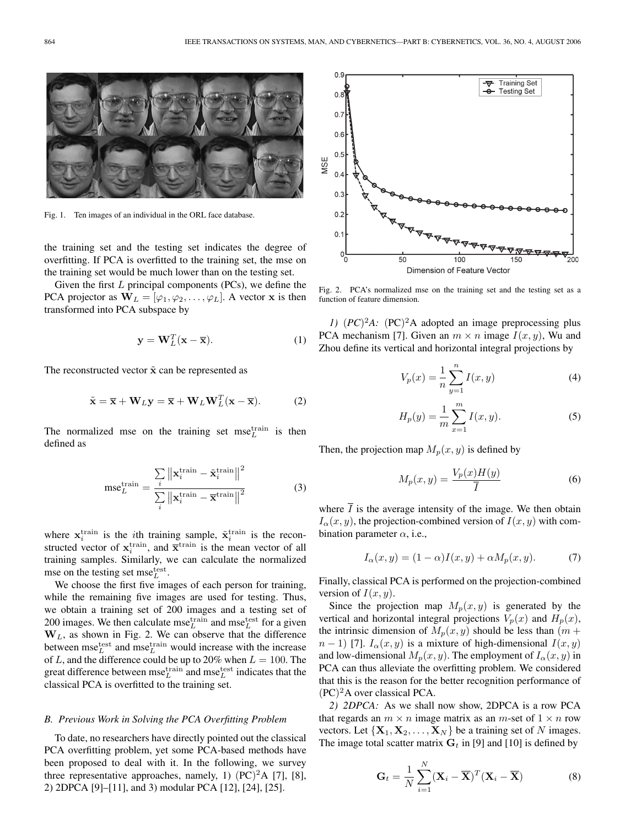Fig. 1. Ten images of an individual in the ORL face database.

the training set and the testing set indicates the degree of overfitting. If PCA is overfitted to the training set, the mse on the training set would be much lower than on the testing set.

Given the first  $L$  principal components (PCs), we define the PCA projector as  $W_L = [\varphi_1, \varphi_2, \dots, \varphi_L]$ . A vector **x** is then transformed into PCA subspace by

$$
\mathbf{y} = \mathbf{W}_L^T(\mathbf{x} - \overline{\mathbf{x}}).
$$
 (1)

The reconstructed vector  $\tilde{\mathbf{x}}$  can be represented as

$$
\tilde{\mathbf{x}} = \overline{\mathbf{x}} + \mathbf{W}_L \mathbf{y} = \overline{\mathbf{x}} + \mathbf{W}_L \mathbf{W}_L^T (\mathbf{x} - \overline{\mathbf{x}}).
$$
 (2)

The normalized mse on the training set mse $_L^{\text{train}}$  is then defined as

$$
mse_L^{\text{train}} = \frac{\sum_{i} \left\| \mathbf{x}_i^{\text{train}} - \tilde{\mathbf{x}}_i^{\text{train}} \right\|^2}{\sum_{i} \left\| \mathbf{x}_i^{\text{train}} - \overline{\mathbf{x}}^{\text{train}} \right\|^2}
$$
(3)

where  $x_i^{\text{train}}$  is the *i*th training sample,  $\tilde{x}_i^{\text{train}}$  is the reconstructed vector of  $\mathbf{x}_i^{\text{train}}$ , and  $\overline{\mathbf{x}}^{\text{train}}$  is the mean vector of all training samples. Similarly, we can calculate the normalized mse on the testing set mse $_L^{\text{test}}$ .

We choose the first five images of each person for training, while the remaining five images are used for testing. Thus, we obtain a training set of 200 images and a testing set of 200 images. We then calculate mse $_L^{\text{train}}$  and mse $_L^{\text{test}}$  for a given  $W_L$ , as shown in Fig. 2. We can observe that the difference between mse $_L^{\text{test}}$  and mse $_L^{\text{train}}$  would increase with the increase of L, and the difference could be up to 20% when  $L = 100$ . The great difference between mse $_L^{\text{train}}$  and mse $_L^{\text{test}}$  indicates that the classical PCA is overfitted to the training set.

## *B. Previous Work in Solving the PCA Overfitting Problem*

To date, no researchers have directly pointed out the classical PCA overfitting problem, yet some PCA-based methods have been proposed to deal with it. In the following, we survey three representative approaches, namely, 1)  $(PC)^{2}A$  [7], [8], 2) 2DPCA [9]–[11], and 3) modular PCA [12], [24], [25].



*1)*  $(PC)^2A$ :  $(PC)^2A$  adopted an image preprocessing plus PCA mechanism [7]. Given an  $m \times n$  image  $I(x, y)$ , Wu and Zhou define its vertical and horizontal integral projections by

$$
V_p(x) = \frac{1}{n} \sum_{y=1}^{n} I(x, y)
$$
 (4)

$$
H_p(y) = \frac{1}{m} \sum_{x=1}^{m} I(x, y).
$$
 (5)

Then, the projection map  $M_p(x, y)$  is defined by

$$
M_p(x,y) = \frac{V_p(x)H(y)}{\overline{I}}\tag{6}
$$

where  $\overline{I}$  is the average intensity of the image. We then obtain  $I_{\alpha}(x, y)$ , the projection-combined version of  $I(x, y)$  with combination parameter  $\alpha$ , i.e.,

$$
I_{\alpha}(x,y) = (1 - \alpha)I(x,y) + \alpha M_p(x,y). \tag{7}
$$

Finally, classical PCA is performed on the projection-combined version of  $I(x, y)$ .

Since the projection map  $M_p(x, y)$  is generated by the vertical and horizontal integral projections  $V_p(x)$  and  $H_p(x)$ , the intrinsic dimension of  $M_p(x, y)$  should be less than  $(m +$  $n-1$ ) [7].  $I_{\alpha}(x, y)$  is a mixture of high-dimensional  $I(x, y)$ and low-dimensional  $M_p(x, y)$ . The employment of  $I_\alpha(x, y)$  in PCA can thus alleviate the overfitting problem. We considered that this is the reason for the better recognition performance of  $(PC)^2$ A over classical PCA.

*2) 2DPCA:* As we shall now show, 2DPCA is a row PCA that regards an  $m \times n$  image matrix as an *m*-set of  $1 \times n$  row vectors. Let  $\{X_1, X_2, \ldots, X_N\}$  be a training set of N images. The image total scatter matrix  $G_t$  in [9] and [10] is defined by

$$
\mathbf{G}_t = \frac{1}{N} \sum_{i=1}^{N} (\mathbf{X}_i - \overline{\mathbf{X}})^T (\mathbf{X}_i - \overline{\mathbf{X}})
$$
(8)



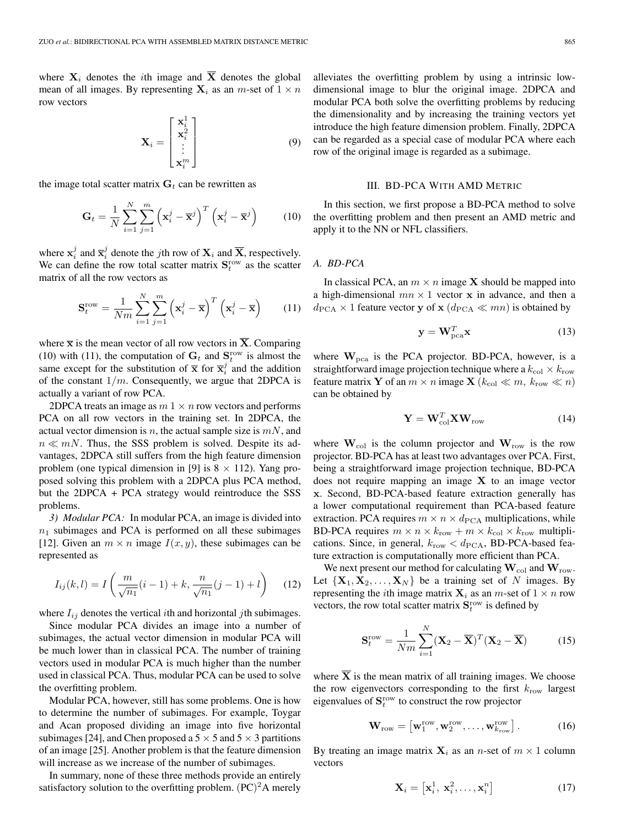where  $X_i$  denotes the *i*th image and  $\overline{X}$  denotes the global mean of all images. By representing  $X_i$  as an m-set of  $1 \times n$ row vectors

$$
\mathbf{X}_{i} = \begin{bmatrix} \mathbf{x}_{i}^{1} \\ \mathbf{x}_{i}^{2} \\ \vdots \\ \mathbf{x}_{i}^{m} \end{bmatrix}
$$
 (9)

the image total scatter matrix  $G_t$  can be rewritten as

$$
\mathbf{G}_{t} = \frac{1}{N} \sum_{i=1}^{N} \sum_{j=1}^{m} \left(\mathbf{x}_{i}^{j} - \overline{\mathbf{x}}^{j}\right)^{T} \left(\mathbf{x}_{i}^{j} - \overline{\mathbf{x}}^{j}\right)
$$
(10)

where  $\mathbf{x}_i^j$  and  $\overline{\mathbf{x}}_i^j$  denote the *j*th row of  $\mathbf{X}_i$  and  $\overline{\mathbf{X}}$ , respectively. We can define the row total scatter matrix  $S_t^{\text{row}}$  as the scatter matrix of all the row vectors as

$$
\mathbf{S}_{t}^{\text{row}} = \frac{1}{Nm} \sum_{i=1}^{N} \sum_{j=1}^{m} \left(\mathbf{x}_{i}^{j} - \overline{\mathbf{x}}\right)^{T} \left(\mathbf{x}_{i}^{j} - \overline{\mathbf{x}}\right)
$$
(11)

where  $\bar{x}$  is the mean vector of all row vectors in  $\bar{X}$ . Comparing (10) with (11), the computation of  $\mathbf{G}_t$  and  $\mathbf{S}_t^{\text{row}}$  is almost the same except for the substitution of  $\overline{x}$  for  $\overline{x}_i^j$  and the addition of the constant  $1/m$ . Consequently, we argue that 2DPCA is actually a variant of row PCA.

2DPCA treats an image as  $m 1 \times n$  row vectors and performs PCA on all row vectors in the training set. In 2DPCA, the actual vector dimension is  $n$ , the actual sample size is  $mN$ , and  $n \ll mN$ . Thus, the SSS problem is solved. Despite its advantages, 2DPCA still suffers from the high feature dimension problem (one typical dimension in [9] is  $8 \times 112$ ). Yang proposed solving this problem with a 2DPCA plus PCA method, but the 2DPCA + PCA strategy would reintroduce the SSS problems.

*3) Modular PCA:* In modular PCA, an image is divided into  $n_1$  subimages and PCA is performed on all these subimages [12]. Given an  $m \times n$  image  $I(x, y)$ , these subimages can be represented as

$$
I_{ij}(k,l) = I\left(\frac{m}{\sqrt{n_1}}(i-1) + k, \frac{n}{\sqrt{n_1}}(j-1) + l\right)
$$
 (12)

where  $I_{ij}$  denotes the vertical *i*th and horizontal *j*th subimages.

Since modular PCA divides an image into a number of subimages, the actual vector dimension in modular PCA will be much lower than in classical PCA. The number of training vectors used in modular PCA is much higher than the number used in classical PCA. Thus, modular PCA can be used to solve the overfitting problem.

Modular PCA, however, still has some problems. One is how to determine the number of subimages. For example, Toygar and Acan proposed dividing an image into five horizontal subimages [24], and Chen proposed a  $5 \times 5$  and  $5 \times 3$  partitions of an image [25]. Another problem is that the feature dimension will increase as we increase of the number of subimages.

In summary, none of these three methods provide an entirely satisfactory solution to the overfitting problem.  $(PC)^2$ A merely

alleviates the overfitting problem by using a intrinsic lowdimensional image to blur the original image. 2DPCA and modular PCA both solve the overfitting problems by reducing the dimensionality and by increasing the training vectors yet introduce the high feature dimension problem. Finally, 2DPCA can be regarded as a special case of modular PCA where each row of the original image is regarded as a subimage.

## III. BD-PCA WITH AMD METRIC

In this section, we first propose a BD-PCA method to solve the overfitting problem and then present an AMD metric and apply it to the NN or NFL classifiers.

### *A. BD-PCA*

In classical PCA, an  $m \times n$  image **X** should be mapped into a high-dimensional  $mn \times 1$  vector **x** in advance, and then a  $d_{\text{PCA}} \times 1$  feature vector **y** of **x** ( $d_{\text{PCA}} \ll mn$ ) is obtained by

$$
y = W_{\text{pca}}^T x \tag{13}
$$

where  $W_{\text{pca}}$  is the PCA projector. BD-PCA, however, is a straightforward image projection technique where a  $k_{\text{col}} \times k_{\text{row}}$ feature matrix **Y** of an  $m \times n$  image **X** ( $k_{\text{col}} \ll m$ ,  $k_{\text{row}} \ll n$ ) can be obtained by

$$
\mathbf{Y} = \mathbf{W}_{\text{col}}^T \mathbf{X} \mathbf{W}_{\text{row}} \tag{14}
$$

where  $\mathbf{W}_{\text{col}}$  is the column projector and  $\mathbf{W}_{\text{row}}$  is the row projector. BD-PCA has at least two advantages over PCA. First, being a straightforward image projection technique, BD-PCA does not require mapping an image **X** to an image vector **x**. Second, BD-PCA-based feature extraction generally has a lower computational requirement than PCA-based feature extraction. PCA requires  $m \times n \times d_{\text{PCA}}$  multiplications, while BD-PCA requires  $m \times n \times k_{\text{row}} + m \times k_{\text{col}} \times k_{\text{row}}$  multiplications. Since, in general,  $k_{\text{row}} < d_{\text{PCA}}$ , BD-PCA-based feature extraction is computationally more efficient than PCA.

We next present our method for calculating  $W_{\text{col}}$  and  $W_{\text{row}}$ . Let  $\{X_1, X_2, \ldots, X_N\}$  be a training set of N images. By representing the *i*th image matrix  $X_i$  as an *m*-set of  $1 \times n$  row vectors, the row total scatter matrix  $S_t^{\text{row}}$  is defined by

$$
\mathbf{S}_{t}^{\text{row}} = \frac{1}{Nm} \sum_{i=1}^{N} (\mathbf{X}_{2} - \overline{\mathbf{X}})^{T} (\mathbf{X}_{2} - \overline{\mathbf{X}})
$$
(15)

where  $\overline{X}$  is the mean matrix of all training images. We choose the row eigenvectors corresponding to the first  $k_{\text{row}}$  largest eigenvalues of  $S_t^{\text{row}}$  to construct the row projector

$$
\mathbf{W}_{\text{row}} = \left[ \mathbf{w}_1^{\text{row}}, \mathbf{w}_2^{\text{row}}, \dots, \mathbf{w}_{k_{\text{row}}}^{\text{row}} \right]. \tag{16}
$$

By treating an image matrix  $X_i$  as an *n*-set of  $m \times 1$  column vectors

$$
\mathbf{X}_i = \left[ \mathbf{x}_i^1, \ \mathbf{x}_i^2, \dots, \mathbf{x}_i^n \right] \tag{17}
$$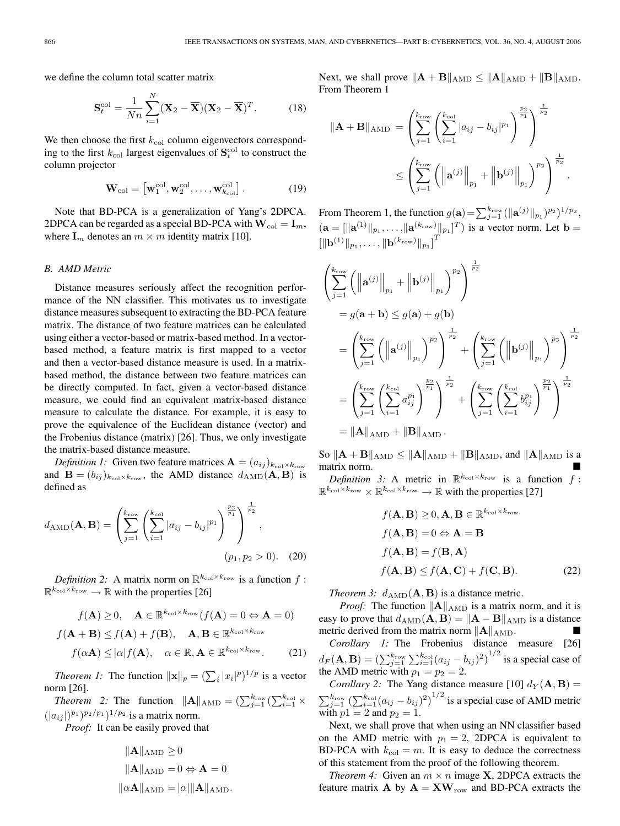we define the column total scatter matrix

$$
\mathbf{S}_{t}^{\text{col}} = \frac{1}{Nn} \sum_{i=1}^{N} (\mathbf{X}_{2} - \overline{\mathbf{X}}) (\mathbf{X}_{2} - \overline{\mathbf{X}})^{T}.
$$
 (18)

We then choose the first  $k_{\text{col}}$  column eigenvectors corresponding to the first  $k_{\text{col}}$  largest eigenvalues of  $\mathbf{S}_t^{\text{col}}$  to construct the column projector

$$
\mathbf{W}_{\text{col}} = \left[\mathbf{w}_{1}^{\text{col}}, \mathbf{w}_{2}^{\text{col}}, \dots, \mathbf{w}_{k_{\text{col}}}^{\text{col}}\right]. \tag{19}
$$

Note that BD-PCA is a generalization of Yang's 2DPCA. 2DPCA can be regarded as a special BD-PCA with  $W_{col} = I_m$ , where  $\mathbf{I}_m$  denotes an  $m \times m$  identity matrix [10].

#### *B. AMD Metric*

Distance measures seriously affect the recognition performance of the NN classifier. This motivates us to investigate distance measures subsequent to extracting the BD-PCA feature matrix. The distance of two feature matrices can be calculated using either a vector-based or matrix-based method. In a vectorbased method, a feature matrix is first mapped to a vector and then a vector-based distance measure is used. In a matrixbased method, the distance between two feature matrices can be directly computed. In fact, given a vector-based distance measure, we could find an equivalent matrix-based distance measure to calculate the distance. For example, it is easy to prove the equivalence of the Euclidean distance (vector) and the Frobenius distance (matrix) [26]. Thus, we only investigate the matrix-based distance measure.

*Definition 1:* Given two feature matrices  $\mathbf{A} = (a_{ij})_{k_{\text{col}} \times k_{\text{row}}}$ and  $\mathbf{B} = (b_{ij})_{k_{\text{col}} \times k_{\text{row}}}$ , the AMD distance  $d_{\text{AMD}}(\mathbf{A}, \mathbf{B})$  is defined as

$$
d_{\text{AMD}}(\mathbf{A}, \mathbf{B}) = \left( \sum_{j=1}^{k_{\text{row}}} \left( \sum_{i=1}^{k_{\text{col}}} |a_{ij} - b_{ij}|^{p_1} \right)^{\frac{p_2}{p_1}} \right)^{\frac{1}{p_2}},
$$
\n
$$
(p_1, p_2 > 0). \quad (20)
$$

*Definition 2:* A matrix norm on  $\mathbb{R}^{k_{\text{col}} \times k_{\text{row}}}$  is a function  $f$ :  $\mathbb{R}^{k_{\rm col}\times k_{\rm row}} \to \mathbb{R}$  with the properties [26]

$$
f(\mathbf{A}) \ge 0, \quad \mathbf{A} \in \mathbb{R}^{k_{\text{col}} \times k_{\text{row}}} (f(\mathbf{A}) = 0 \Leftrightarrow \mathbf{A} = 0)
$$
  

$$
f(\mathbf{A} + \mathbf{B}) \le f(\mathbf{A}) + f(\mathbf{B}), \quad \mathbf{A}, \mathbf{B} \in \mathbb{R}^{k_{\text{col}} \times k_{\text{row}}}
$$
  

$$
f(\alpha \mathbf{A}) \le |\alpha| f(\mathbf{A}), \quad \alpha \in \mathbb{R}, \mathbf{A} \in \mathbb{R}^{k_{\text{col}} \times k_{\text{row}}}.
$$
 (21)

*Theorem 1:* The function  $\|\mathbf{x}\|_p = (\sum_i |x_i|^p)^{1/p}$  is a vector norm [26].

*Theorem 2:* The function  $||\mathbf{A}||_{\text{AMD}} = \left(\sum_{j=1}^{k_{\text{row}}} \left(\sum_{i=1}^{k_{\text{col}}} \times \right)\right)$  $(|a_{ij}|)^{p_1}$ )<sup> $p_2/p_1$ </sup>)<sup>1</sup>/<sup>p<sub>2</sub></sup> is a matrix norm.

*Proof:* It can be easily proved that

$$
||\mathbf{A}||_{\text{AMD}} \ge 0
$$
  

$$
||\mathbf{A}||_{\text{AMD}} = 0 \Leftrightarrow \mathbf{A} = 0
$$
  

$$
||\alpha \mathbf{A}||_{\text{AMD}} = |\alpha| ||\mathbf{A}||_{\text{AMD}}.
$$

Next, we shall prove  $\|\mathbf{A} + \mathbf{B}\|_{\text{AMD}} \le \|\mathbf{A}\|_{\text{AMD}} + \|\mathbf{B}\|_{\text{AMD}}$ . From Theorem 1

$$
\|\mathbf{A} + \mathbf{B}\|_{\text{AMD}} = \left(\sum_{j=1}^{k_{\text{row}}} \left(\sum_{i=1}^{k_{\text{col}}} |a_{ij} - b_{ij}|^{p_1}\right)^{\frac{p_2}{p_1}}\right)^{\frac{1}{p_2}}\n\leq \left(\sum_{j=1}^{k_{\text{row}}} \left(\left\|\mathbf{a}^{(j)}\right\|_{p_1} + \left\|\mathbf{b}^{(j)}\right\|_{p_1}\right)^{p_2}\right)^{\frac{1}{p_2}}.
$$

From Theorem 1, the function  $g(\mathbf{a}) = \sum_{j=1}^{k_{\text{row}}} (\|\mathbf{a}^{(j)}\|_{p_1})^{p_2})^{1/p_2}$ ,  $(\mathbf{a} = [\|\mathbf{a}^{(1)}\|_{p_1}, \dots, \|\mathbf{a}^{(k_{\text{row}})}\|_{p_1}]^T)$  is a vector norm. Let  $\mathbf{b} =$  $\left[\|\mathbf{b}^{(1)}\|_{p_1},\ldots,\|\mathbf{b}^{(k_{\mathrm{row}})}\|_{p_1}\right]^T$ 

$$
\begin{split}\n&\left(\sum_{j=1}^{k_{\text{row}}}\left(\left\|\mathbf{a}^{(j)}\right\|_{p_{1}}+\left\|\mathbf{b}^{(j)}\right\|_{p_{1}}\right)^{p_{2}}\right)^{\frac{1}{p_{2}}} \\
&=g(\mathbf{a}+\mathbf{b})\leq g(\mathbf{a})+g(\mathbf{b}) \\
&=\left(\sum_{j=1}^{k_{\text{row}}}\left(\left\|\mathbf{a}^{(j)}\right\|_{p_{1}}\right)^{p_{2}}\right)^{\frac{1}{p_{2}}}+\left(\sum_{j=1}^{k_{\text{row}}}\left(\left\|\mathbf{b}^{(j)}\right\|_{p_{1}}\right)^{p_{2}}\right)^{\frac{1}{p_{2}}} \\
&=\left(\sum_{j=1}^{k_{\text{row}}}\left(\sum_{i=1}^{k_{\text{col}}}a_{ij}^{p_{1}}\right)^{\frac{p_{2}}{p_{1}}}\right)^{\frac{1}{p_{2}}}+\left(\sum_{j=1}^{k_{\text{row}}}\left(\sum_{i=1}^{k_{\text{col}}}b_{ij}^{p_{1}}\right)^{\frac{p_{2}}{p_{1}}}\right)^{\frac{1}{p_{2}}} \\
&=\left\|\mathbf{A}\right\|_{\text{AMD}}+\left\|\mathbf{B}\right\|_{\text{AMD}}.\n\end{split}
$$

So  $\|\mathbf{A} + \mathbf{B}\|_{\text{AMD}} \le \|\mathbf{A}\|_{\text{AMD}} + \|\mathbf{B}\|_{\text{AMD}}$ , and  $\|\mathbf{A}\|_{\text{AMD}}$  is a matrix norm.

*Definition 3:* A metric in  $\mathbb{R}^{k_{\text{col}} \times k_{\text{row}}}$  is a function  $f$ :  $\mathbb{R}^{k_{\text{col}}\times k_{\text{row}}} \times \mathbb{R}^{k_{\text{col}}\times k_{\text{row}}} \to \mathbb{R}$  with the properties [27]

$$
f(\mathbf{A}, \mathbf{B}) \ge 0, \mathbf{A}, \mathbf{B} \in \mathbb{R}^{k_{\text{col}} \times k_{\text{row}}}
$$
  

$$
f(\mathbf{A}, \mathbf{B}) = 0 \Leftrightarrow \mathbf{A} = \mathbf{B}
$$
  

$$
f(\mathbf{A}, \mathbf{B}) = f(\mathbf{B}, \mathbf{A})
$$
  

$$
f(\mathbf{A}, \mathbf{B}) \le f(\mathbf{A}, \mathbf{C}) + f(\mathbf{C}, \mathbf{B}).
$$
 (22)

*Theorem 3:*  $d_{\text{AMD}}(A, B)$  is a distance metric.

*Proof:* The function  $\|\mathbf{A}\|_{\text{AMD}}$  is a matrix norm, and it is easy to prove that  $d_{\text{AMD}}(A, B) = ||A - B||_{\text{AMD}}$  is a distance metric derived from the matrix norm  $||A||_{\text{AMD}}$ .

*Corollary 1:* The Frobenius distance measure [26]  $d_F(A, B) = \left(\sum_{j=1}^{k_{\text{row}}} \sum_{i=1}^{k_{\text{col}}}(a_{ij} - b_{ij})^2\right)^{1/2}$  is a special case of the AMD metric with  $p_1 = p_2 = 2$ .

*Corollary 2:* The Yang distance measure [10]  $d_Y(\mathbf{A}, \mathbf{B}) =$  $\sum_{j=1}^{k_{\text{row}}} \left( \sum_{i=1}^{k_{\text{col}}} (a_{ij} - b_{ij})^2 \right)^{1/2}$  is a special case of AMD metric with  $p1=2$  and  $p_2 = 1$ .

Next, we shall prove that when using an NN classifier based on the AMD metric with  $p_1 = 2$ , 2DPCA is equivalent to BD-PCA with  $k_{\text{col}} = m$ . It is easy to deduce the correctness of this statement from the proof of the following theorem.

*Theorem 4:* Given an  $m \times n$  image **X**, 2DPCA extracts the feature matrix  $\bf{A}$  by  $\bf{A} = \bf{X} \bf{W}_{row}$  and BD-PCA extracts the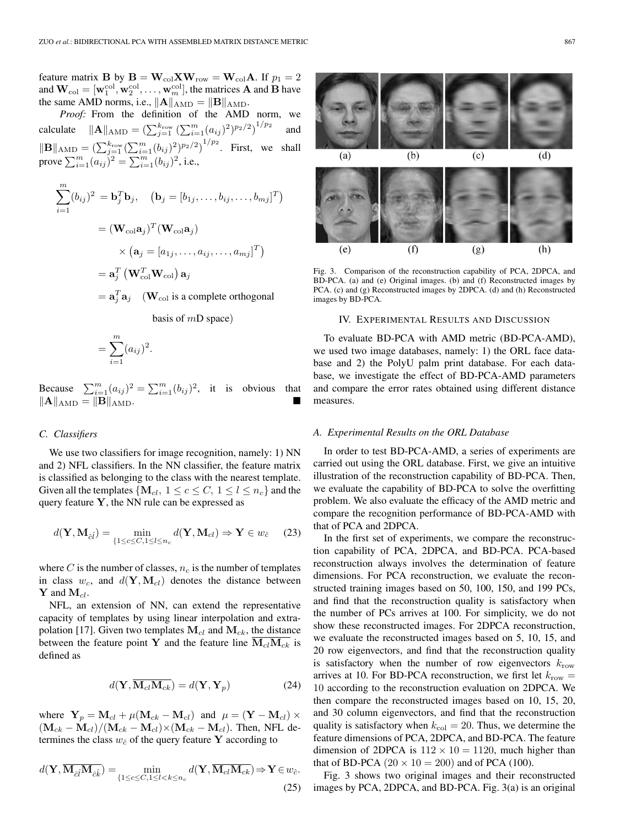feature matrix **B** by  $B = W_{col}XW_{row} = W_{col}A$ . If  $p_1 = 2$ and  $\mathbf{W}_{\text{col}} = [\mathbf{w}_1^{\text{col}}, \mathbf{w}_2^{\text{col}}, \dots, \mathbf{w}_m^{\text{col}}]$ , the matrices **A** and **B** have the same AMD norms, i.e.,  $||\mathbf{A}||_{\text{AMD}} = ||\mathbf{B}||_{\text{AMD}}$ .

*Proof:* From the definition of the AMD norm, we calculate  $\|\mathbf{A}\|_{\text{AMD}} = \left(\sum_{j=1}^{k_{\text{row}}} \left(\sum_{i=1}^{m} (a_{ij})^2\right)^{p_2/2}\right)^{1/p_2}$ and  $\|\mathbf{B}\|_{\text{AMD}} = \left(\sum_{j=1}^{k_{\text{row}}} (\sum_{i=1}^{m} (b_{ij})^2)^{p_2/2}\right)^{1/p_2}$ . First, we shall prove  $\sum_{i=1}^{m} (a_{ij})^2 = \sum_{i=1}^{m} (b_{ij})^2$ , i.e.,

$$
\sum_{i=1}^{m} (b_{ij})^2 = \mathbf{b}_j^T \mathbf{b}_j, \quad (\mathbf{b}_j = [b_{1j}, \dots, b_{ij}, \dots, b_{mj}]^T)
$$

$$
= (\mathbf{W}_{\text{col}} \mathbf{a}_j)^T (\mathbf{W}_{\text{col}} \mathbf{a}_j)
$$

$$
\times (\mathbf{a}_j = [a_{1j}, \dots, a_{ij}, \dots, a_{mj}]^T)
$$

$$
= \mathbf{a}_j^T (\mathbf{W}_{\text{col}}^T \mathbf{W}_{\text{col}}) \mathbf{a}_j
$$

$$
= \mathbf{a}_j^T \mathbf{a}_j \quad (\mathbf{W}_{\text{col}} \text{ is a complete orthogonal})
$$

basis of 
$$
mD
$$
 space)

$$
=\sum_{i=1}^m (a_{ij})^2.
$$

Because  $\sum_{i=1}^{m} (a_{ij})^2 = \sum_{i=1}^{m} (b_{ij})^2$ , it is obvious that  $\|\mathbf{A}\|_{\text{AMD}} = \|\mathbf{B}\|_{\text{AMD}}.$ 

## *C. Classifiers*

We use two classifiers for image recognition, namely: 1) NN and 2) NFL classifiers. In the NN classifier, the feature matrix is classified as belonging to the class with the nearest template. Given all the templates  $\{M_{cl}, 1 \leq c \leq C, 1 \leq l \leq n_c\}$  and the query feature **Y**, the NN rule can be expressed as

$$
d(\mathbf{Y}, \mathbf{M}_{\hat{c}\hat{l}}) = \min_{\{1 \le c \le C, 1 \le l \le n_c} d(\mathbf{Y}, \mathbf{M}_{cl}) \Rightarrow \mathbf{Y} \in w_{\hat{c}} \quad (23)
$$

where C is the number of classes,  $n_c$  is the number of templates in class  $w_c$ , and  $d(Y, M_c)$  denotes the distance between  $\mathbf{Y}$  and  $\mathbf{M}_{cl}$ .

NFL, an extension of NN, can extend the representative capacity of templates by using linear interpolation and extrapolation [17]. Given two templates  $M_{cl}$  and  $M_{ck}$ , the distance between the feature point **Y** and the feature line  $\overline{\mathbf{M}_{cl}\mathbf{M}_{ck}}$  is defined as

$$
d(\mathbf{Y}, \overline{\mathbf{M}_{cl}\mathbf{M}_{ck}}) = d(\mathbf{Y}, \mathbf{Y}_p)
$$
 (24)

where  $\mathbf{Y}_p = \mathbf{M}_{cl} + \mu(\mathbf{M}_{ck} - \mathbf{M}_{cl})$  and  $\mu = (\mathbf{Y} - \mathbf{M}_{cl}) \times$  $(\mathbf{M}_{ck} - \mathbf{M}_{cl})/(\mathbf{M}_{ck} - \mathbf{M}_{cl}) \times (\mathbf{M}_{ck} - \mathbf{M}_{cl})$ . Then, NFL determines the class  $w_{\hat{c}}$  of the query feature Y according to

$$
d(\mathbf{Y}, \overline{\mathbf{M}_{\hat{c}\hat{l}}\mathbf{M}_{\hat{c}\hat{k}}}) = \min_{\{1 \le c \le C, 1 \le l < k \le n_c} d(\mathbf{Y}, \overline{\mathbf{M}_{cl}\mathbf{M}_{ck}}) \Rightarrow \mathbf{Y} \in w_{\hat{c}}.\tag{25}
$$



Fig. 3. Comparison of the reconstruction capability of PCA, 2DPCA, and BD-PCA. (a) and (e) Original images. (b) and (f) Reconstructed images by PCA. (c) and (g) Reconstructed images by 2DPCA. (d) and (h) Reconstructed images by BD-PCA.

## IV. EXPERIMENTAL RESULTS AND DISCUSSION

To evaluate BD-PCA with AMD metric (BD-PCA-AMD), we used two image databases, namely: 1) the ORL face database and 2) the PolyU palm print database. For each database, we investigate the effect of BD-PCA-AMD parameters and compare the error rates obtained using different distance measures.

## *A. Experimental Results on the ORL Database*

In order to test BD-PCA-AMD, a series of experiments are carried out using the ORL database. First, we give an intuitive illustration of the reconstruction capability of BD-PCA. Then, we evaluate the capability of BD-PCA to solve the overfitting problem. We also evaluate the efficacy of the AMD metric and compare the recognition performance of BD-PCA-AMD with that of PCA and 2DPCA.

In the first set of experiments, we compare the reconstruction capability of PCA, 2DPCA, and BD-PCA. PCA-based reconstruction always involves the determination of feature dimensions. For PCA reconstruction, we evaluate the reconstructed training images based on 50, 100, 150, and 199 PCs, and find that the reconstruction quality is satisfactory when the number of PCs arrives at 100. For simplicity, we do not show these reconstructed images. For 2DPCA reconstruction, we evaluate the reconstructed images based on 5, 10, 15, and 20 row eigenvectors, and find that the reconstruction quality is satisfactory when the number of row eigenvectors  $k_{\text{row}}$ arrives at 10. For BD-PCA reconstruction, we first let  $k_{\text{row}} =$ 10 according to the reconstruction evaluation on 2DPCA. We then compare the reconstructed images based on 10, 15, 20, and 30 column eigenvectors, and find that the reconstruction quality is satisfactory when  $k_{\text{col}} = 20$ . Thus, we determine the feature dimensions of PCA, 2DPCA, and BD-PCA. The feature dimension of 2DPCA is  $112 \times 10 = 1120$ , much higher than that of BD-PCA  $(20 \times 10 = 200)$  and of PCA  $(100)$ .

Fig. 3 shows two original images and their reconstructed images by PCA, 2DPCA, and BD-PCA. Fig. 3(a) is an original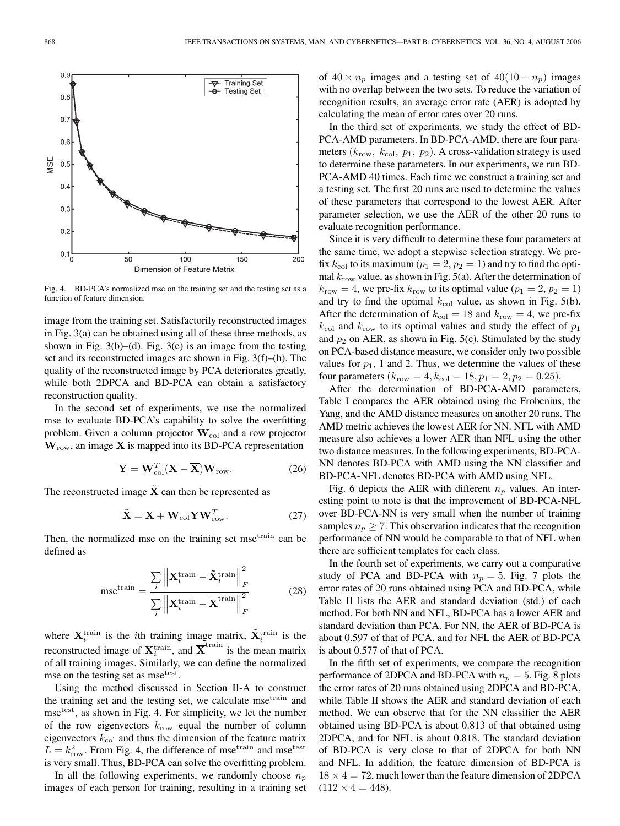

Fig. 4. BD-PCA's normalized mse on the training set and the testing set as a function of feature dimension.

image from the training set. Satisfactorily reconstructed images in Fig. 3(a) can be obtained using all of these three methods, as shown in Fig.  $3(b)$ –(d). Fig.  $3(e)$  is an image from the testing set and its reconstructed images are shown in Fig. 3(f)–(h). The quality of the reconstructed image by PCA deteriorates greatly, while both 2DPCA and BD-PCA can obtain a satisfactory reconstruction quality.

In the second set of experiments, we use the normalized mse to evaluate BD-PCA's capability to solve the overfitting problem. Given a column projector W<sub>col</sub> and a row projector  $W<sub>row</sub>$ , an image  $X$  is mapped into its BD-PCA representation

$$
\mathbf{Y} = \mathbf{W}_{\text{col}}^T (\mathbf{X} - \overline{\mathbf{X}}) \mathbf{W}_{\text{row}}.
$$
 (26)

The reconstructed image  $\hat{\mathbf{X}}$  can then be represented as

$$
\tilde{\mathbf{X}} = \overline{\mathbf{X}} + \mathbf{W}_{\text{col}} \mathbf{Y} \mathbf{W}_{\text{row}}^T.
$$
 (27)

Then, the normalized mse on the training set mse<sup>train</sup> can be defined as

$$
\text{mse}^{\text{train}} = \frac{\sum_{i} \left\| \mathbf{X}_{i}^{\text{train}} - \tilde{\mathbf{X}}_{i}^{\text{train}} \right\|_{F}^{2}}{\sum_{i} \left\| \mathbf{X}_{i}^{\text{train}} - \overline{\mathbf{X}}^{\text{train}} \right\|_{F}^{2}}
$$
(28)

where  $X_i^{\text{train}}$  is the *i*th training image matrix,  $\tilde{X}_i^{\text{train}}$  is the reconstructed image of  $\mathbf{X}_i^{\text{train}}$ , and  $\overline{\mathbf{X}}^{\text{train}}$  is the mean matrix of all training images. Similarly, we can define the normalized mse on the testing set as mse<sup>test</sup>.

Using the method discussed in Section II-A to construct the training set and the testing set, we calculate mse<sup>train</sup> and mse<sup>test</sup>, as shown in Fig. 4. For simplicity, we let the number of the row eigenvectors  $k_{\text{row}}$  equal the number of column eigenvectors  $k_{\text{col}}$  and thus the dimension of the feature matrix  $L = k_{\text{row}}^2$ . From Fig. 4, the difference of mse<sup>train</sup> and mse<sup>test</sup> is very small. Thus, BD-PCA can solve the overfitting problem.

In all the following experiments, we randomly choose  $n_p$ images of each person for training, resulting in a training set of  $40 \times n_p$  images and a testing set of  $40(10 - n_p)$  images with no overlap between the two sets. To reduce the variation of recognition results, an average error rate (AER) is adopted by calculating the mean of error rates over 20 runs.

In the third set of experiments, we study the effect of BD-PCA-AMD parameters. In BD-PCA-AMD, there are four parameters ( $k_{\text{row}}$ ,  $k_{\text{col}}$ ,  $p_1$ ,  $p_2$ ). A cross-validation strategy is used to determine these parameters. In our experiments, we run BD-PCA-AMD 40 times. Each time we construct a training set and a testing set. The first 20 runs are used to determine the values of these parameters that correspond to the lowest AER. After parameter selection, we use the AER of the other 20 runs to evaluate recognition performance.

Since it is very difficult to determine these four parameters at the same time, we adopt a stepwise selection strategy. We prefix  $k_{\text{col}}$  to its maximum ( $p_1 = 2$ ,  $p_2 = 1$ ) and try to find the optimal  $k_{\text{row}}$  value, as shown in Fig. 5(a). After the determination of  $k_{\text{row}} = 4$ , we pre-fix  $k_{\text{row}}$  to its optimal value ( $p_1 = 2, p_2 = 1$ ) and try to find the optimal  $k_{\text{col}}$  value, as shown in Fig. 5(b). After the determination of  $k_{\text{col}} = 18$  and  $k_{\text{row}} = 4$ , we pre-fix  $k_{\text{col}}$  and  $k_{\text{row}}$  to its optimal values and study the effect of  $p_1$ and  $p_2$  on AER, as shown in Fig. 5(c). Stimulated by the study on PCA-based distance measure, we consider only two possible values for  $p_1$ , 1 and 2. Thus, we determine the values of these four parameters  $(k_{\text{row}} = 4, k_{\text{col}} = 18, p_1 = 2, p_2 = 0.25)$ .

After the determination of BD-PCA-AMD parameters, Table I compares the AER obtained using the Frobenius, the Yang, and the AMD distance measures on another 20 runs. The AMD metric achieves the lowest AER for NN. NFL with AMD measure also achieves a lower AER than NFL using the other two distance measures. In the following experiments, BD-PCA-NN denotes BD-PCA with AMD using the NN classifier and BD-PCA-NFL denotes BD-PCA with AMD using NFL.

Fig. 6 depicts the AER with different  $n_p$  values. An interesting point to note is that the improvement of BD-PCA-NFL over BD-PCA-NN is very small when the number of training samples  $n_p \ge 7$ . This observation indicates that the recognition performance of NN would be comparable to that of NFL when there are sufficient templates for each class.

In the fourth set of experiments, we carry out a comparative study of PCA and BD-PCA with  $n_p = 5$ . Fig. 7 plots the error rates of 20 runs obtained using PCA and BD-PCA, while Table II lists the AER and standard deviation (std.) of each method. For both NN and NFL, BD-PCA has a lower AER and standard deviation than PCA. For NN, the AER of BD-PCA is about 0.597 of that of PCA, and for NFL the AER of BD-PCA is about 0.577 of that of PCA.

In the fifth set of experiments, we compare the recognition performance of 2DPCA and BD-PCA with  $n_p = 5$ . Fig. 8 plots the error rates of 20 runs obtained using 2DPCA and BD-PCA, while Table II shows the AER and standard deviation of each method. We can observe that for the NN classifier the AER obtained using BD-PCA is about 0.813 of that obtained using 2DPCA, and for NFL is about 0.818. The standard deviation of BD-PCA is very close to that of 2DPCA for both NN and NFL. In addition, the feature dimension of BD-PCA is  $18 \times 4 = 72$ , much lower than the feature dimension of 2DPCA  $(112 \times 4 = 448).$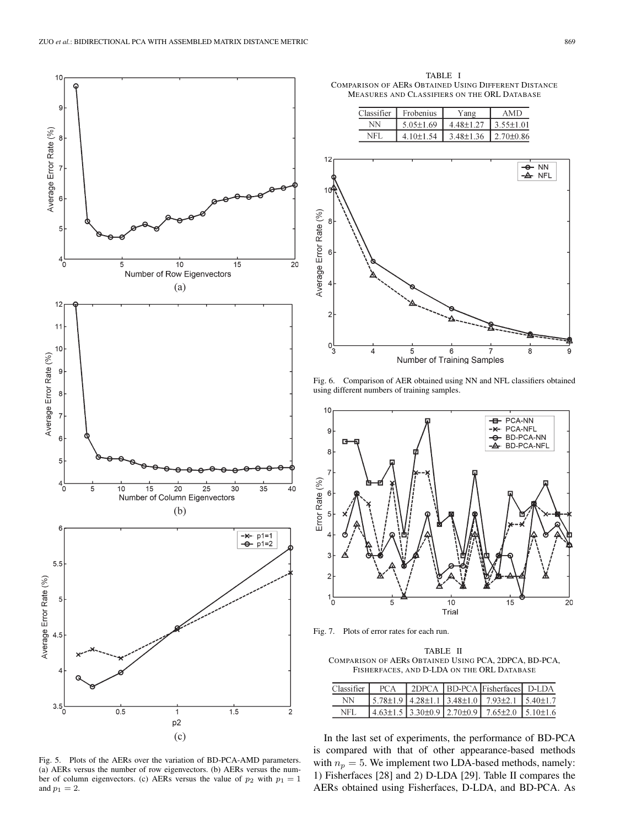

Fig. 5. Plots of the AERs over the variation of BD-PCA-AMD parameters. (a) AERs versus the number of row eigenvectors. (b) AERs versus the number of column eigenvectors. (c) AERs versus the value of  $p_2$  with  $p_1 = 1$ and  $p_1 = 2$ .

TABLE I COMPARISON OF AERs OBTAINED USING DIFFERENT DISTANCE MEASURES AND CLASSIFIERS ON THE ORL DATABASE

| Classifier | Frobenius       |                 |                 |
|------------|-----------------|-----------------|-----------------|
|            | $5.05 \pm 1.69$ | 4.48±1.27       | $3.55 \pm 1.01$ |
| NF         | 54<br>$10+1$    | $3.48 \pm 1.36$ | $2.70 \pm 0.86$ |



Fig. 6. Comparison of AER obtained using NN and NFL classifiers obtained using different numbers of training samples.



Fig. 7. Plots of error rates for each run.

TABLE II COMPARISON OF AERs OBTAINED USING PCA, 2DPCA, BD-PCA, FISHERFACES, AND D-LDA ON THE ORL DATABASE

| Classifier |  | PCA 2DPCA BD-PCA Fisherfaces D-LDA                                        |  |
|------------|--|---------------------------------------------------------------------------|--|
| NN         |  | $5.78\pm1.9$ 4.28 $\pm1.1$ 3.48 $\pm1.0$ 7.93 $\pm2.1$ 5.40 $\pm1.7$      |  |
| NFL        |  | $14.63\pm1.5$ 3.30 $\pm$ 0.9 2.70 $\pm$ 0.9 7.65 $\pm$ 2.0 5.10 $\pm$ 1.6 |  |

In the last set of experiments, the performance of BD-PCA is compared with that of other appearance-based methods with  $n_p = 5$ . We implement two LDA-based methods, namely: 1) Fisherfaces [28] and 2) D-LDA [29]. Table II compares the AERs obtained using Fisherfaces, D-LDA, and BD-PCA. As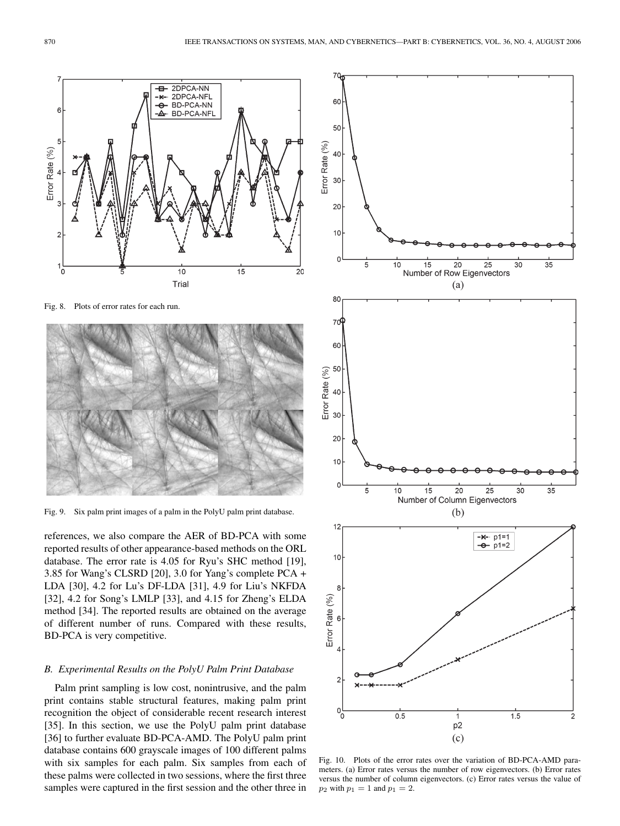

Fig. 8. Plots of error rates for each run.



Fig. 9. Six palm print images of a palm in the PolyU palm print database.

references, we also compare the AER of BD-PCA with some reported results of other appearance-based methods on the ORL database. The error rate is 4.05 for Ryu's SHC method [19], 3.85 for Wang's CLSRD [20], 3.0 for Yang's complete PCA + LDA [30], 4.2 for Lu's DF-LDA [31], 4.9 for Liu's NKFDA [32], 4.2 for Song's LMLP [33], and 4.15 for Zheng's ELDA method [34]. The reported results are obtained on the average of different number of runs. Compared with these results, BD-PCA is very competitive.

## *B. Experimental Results on the PolyU Palm Print Database*

Palm print sampling is low cost, nonintrusive, and the palm print contains stable structural features, making palm print recognition the object of considerable recent research interest [35]. In this section, we use the PolyU palm print database [36] to further evaluate BD-PCA-AMD. The PolyU palm print database contains 600 grayscale images of 100 different palms with six samples for each palm. Six samples from each of these palms were collected in two sessions, where the first three samples were captured in the first session and the other three in



Fig. 10. Plots of the error rates over the variation of BD-PCA-AMD parameters. (a) Error rates versus the number of row eigenvectors. (b) Error rates versus the number of column eigenvectors. (c) Error rates versus the value of  $p_2$  with  $p_1 = 1$  and  $p_1 = 2$ .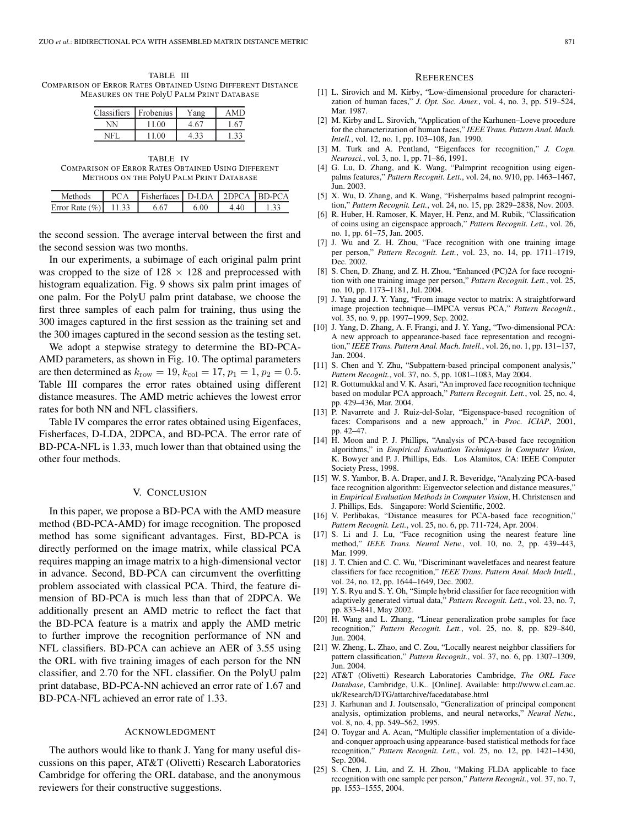TABLE III COMPARISON OF ERROR RATES OBTAINED USING DIFFERENT DISTANCE MEASURES ON THE PolyU PALM PRINT DATABASE

| Classifiers   Frobenius |        | 'ano |  |  |
|-------------------------|--------|------|--|--|
|                         | ' 1.00 |      |  |  |
|                         | 1.00   |      |  |  |

TABLE IV COMPARISON OF ERROR RATES OBTAINED USING DIFFERENT METHODS ON THE PolyU PALM PRINT DATABASE

|                        | PCA | Fisherfaces D-LDA 2DPCA BD-PCA |      |       |  |
|------------------------|-----|--------------------------------|------|-------|--|
| Error Rate $(\%)$ 1133 |     | 6.67                           | 6.00 | 4. AO |  |

the second session. The average interval between the first and the second session was two months.

In our experiments, a subimage of each original palm print was cropped to the size of  $128 \times 128$  and preprocessed with histogram equalization. Fig. 9 shows six palm print images of one palm. For the PolyU palm print database, we choose the first three samples of each palm for training, thus using the 300 images captured in the first session as the training set and the 300 images captured in the second session as the testing set.

We adopt a stepwise strategy to determine the BD-PCA-AMD parameters, as shown in Fig. 10. The optimal parameters are then determined as  $k_{\text{row}} = 19$ ,  $k_{\text{col}} = 17$ ,  $p_1 = 1$ ,  $p_2 = 0.5$ . Table III compares the error rates obtained using different distance measures. The AMD metric achieves the lowest error rates for both NN and NFL classifiers.

Table IV compares the error rates obtained using Eigenfaces, Fisherfaces, D-LDA, 2DPCA, and BD-PCA. The error rate of BD-PCA-NFL is 1.33, much lower than that obtained using the other four methods.

#### V. CONCLUSION

In this paper, we propose a BD-PCA with the AMD measure method (BD-PCA-AMD) for image recognition. The proposed method has some significant advantages. First, BD-PCA is directly performed on the image matrix, while classical PCA requires mapping an image matrix to a high-dimensional vector in advance. Second, BD-PCA can circumvent the overfitting problem associated with classical PCA. Third, the feature dimension of BD-PCA is much less than that of 2DPCA. We additionally present an AMD metric to reflect the fact that the BD-PCA feature is a matrix and apply the AMD metric to further improve the recognition performance of NN and NFL classifiers. BD-PCA can achieve an AER of 3.55 using the ORL with five training images of each person for the NN classifier, and 2.70 for the NFL classifier. On the PolyU palm print database, BD-PCA-NN achieved an error rate of 1.67 and BD-PCA-NFL achieved an error rate of 1.33.

#### ACKNOWLEDGMENT

The authors would like to thank J. Yang for many useful discussions on this paper, AT&T (Olivetti) Research Laboratories Cambridge for offering the ORL database, and the anonymous reviewers for their constructive suggestions.

#### **REFERENCES**

- [1] L. Sirovich and M. Kirby, "Low-dimensional procedure for characterization of human faces," *J. Opt. Soc. Amer.*, vol. 4, no. 3, pp. 519–524, Mar. 1987.
- [2] M. Kirby and L. Sirovich, "Application of the Karhunen–Loeve procedure for the characterization of human faces," *IEEE Trans. Pattern Anal. Mach. Intell.*, vol. 12, no. 1, pp. 103–108, Jan. 1990.
- [3] M. Turk and A. Pentland, "Eigenfaces for recognition," *J. Cogn. Neurosci.*, vol. 3, no. 1, pp. 71–86, 1991.
- [4] G. Lu, D. Zhang, and K. Wang, "Palmprint recognition using eigenpalms features," *Pattern Recognit. Lett.*, vol. 24, no. 9/10, pp. 1463–1467, Jun. 2003.
- [5] X. Wu, D. Zhang, and K. Wang, "Fisherpalms based palmprint recognition," *Pattern Recognit. Lett.*, vol. 24, no. 15, pp. 2829–2838, Nov. 2003.
- [6] R. Huber, H. Ramoser, K. Mayer, H. Penz, and M. Rubik, "Classification of coins using an eigenspace approach," *Pattern Recognit. Lett.*, vol. 26, no. 1, pp. 61–75, Jan. 2005.
- [7] J. Wu and Z. H. Zhou, "Face recognition with one training image per person," *Pattern Recognit. Lett.*, vol. 23, no. 14, pp. 1711–1719, Dec. 2002.
- [8] S. Chen, D. Zhang, and Z. H. Zhou, "Enhanced (PC)2A for face recognition with one training image per person," *Pattern Recognit. Lett.*, vol. 25, no. 10, pp. 1173–1181, Jul. 2004.
- [9] J. Yang and J. Y. Yang, "From image vector to matrix: A straightforward image projection technique—IMPCA versus PCA," *Pattern Recognit.*, vol. 35, no. 9, pp. 1997–1999, Sep. 2002.
- [10] J. Yang, D. Zhang, A. F. Frangi, and J. Y. Yang, "Two-dimensional PCA: A new approach to appearance-based face representation and recognition," *IEEE Trans. Pattern Anal. Mach. Intell.*, vol. 26, no. 1, pp. 131–137, Jan. 2004.
- [11] S. Chen and Y. Zhu, "Subpattern-based principal component analysis," *Pattern Recognit.*, vol. 37, no. 5, pp. 1081–1083, May 2004.
- [12] R. Gottumukkal and V. K. Asari, "An improved face recognition technique based on modular PCA approach," *Pattern Recognit. Lett.*, vol. 25, no. 4, pp. 429–436, Mar. 2004.
- [13] P. Navarrete and J. Ruiz-del-Solar, "Eigenspace-based recognition of faces: Comparisons and a new approach," in *Proc. ICIAP*, 2001, pp. 42–47.
- [14] H. Moon and P. J. Phillips, "Analysis of PCA-based face recognition algorithms," in *Empirical Evaluation Techniques in Computer Vision*, K. Bowyer and P. J. Phillips, Eds. Los Alamitos, CA: IEEE Computer Society Press, 1998.
- [15] W. S. Yambor, B. A. Draper, and J. R. Beveridge, "Analyzing PCA-based face recognition algorithm: Eigenvector selection and distance measures," in *Empirical Evaluation Methods in Computer Vision*, H. Christensen and J. Phillips, Eds. Singapore: World Scientific, 2002.
- [16] V. Perlibakas, "Distance measures for PCA-based face recognition," *Pattern Recognit. Lett.*, vol. 25, no. 6, pp. 711-724, Apr. 2004.
- [17] S. Li and J. Lu, "Face recognition using the nearest feature line method," *IEEE Trans. Neural Netw.*, vol. 10, no. 2, pp. 439–443, Mar. 1999.
- [18] J. T. Chien and C. C. Wu, "Discriminant waveletfaces and nearest feature classifiers for face recognition," *IEEE Trans. Pattern Anal. Mach Intell.*, vol. 24, no. 12, pp. 1644–1649, Dec. 2002.
- [19] Y. S. Ryu and S. Y. Oh, "Simple hybrid classifier for face recognition with adaptively generated virtual data," *Pattern Recognit. Lett.*, vol. 23, no. 7, pp. 833–841, May 2002.
- [20] H. Wang and L. Zhang, "Linear generalization probe samples for face recognition," *Pattern Recognit. Lett.*, vol. 25, no. 8, pp. 829–840, Jun. 2004.
- [21] W. Zheng, L. Zhao, and C. Zou, "Locally nearest neighbor classifiers for pattern classification," *Pattern Recognit.*, vol. 37, no. 6, pp. 1307–1309, Jun. 2004.
- [22] AT&T (Olivetti) Research Laboratories Cambridge, *The ORL Face Database*, Cambridge, U.K.. [Online]. Available: http://www.cl.cam.ac. uk/Research/DTG/attarchive/facedatabase.html
- [23] J. Karhunan and J. Joutsensalo, "Generalization of principal component analysis, optimization problems, and neural networks," *Neural Netw.*, vol. 8, no. 4, pp. 549–562, 1995.
- [24] O. Toygar and A. Acan, "Multiple classifier implementation of a divideand-conquer approach using appearance-based statistical methods for face recognition," *Pattern Recognit. Lett.*, vol. 25, no. 12, pp. 1421–1430, Sep. 2004.
- [25] S. Chen, J. Liu, and Z. H. Zhou, "Making FLDA applicable to face recognition with one sample per person," *Pattern Recognit.*, vol. 37, no. 7, pp. 1553–1555, 2004.